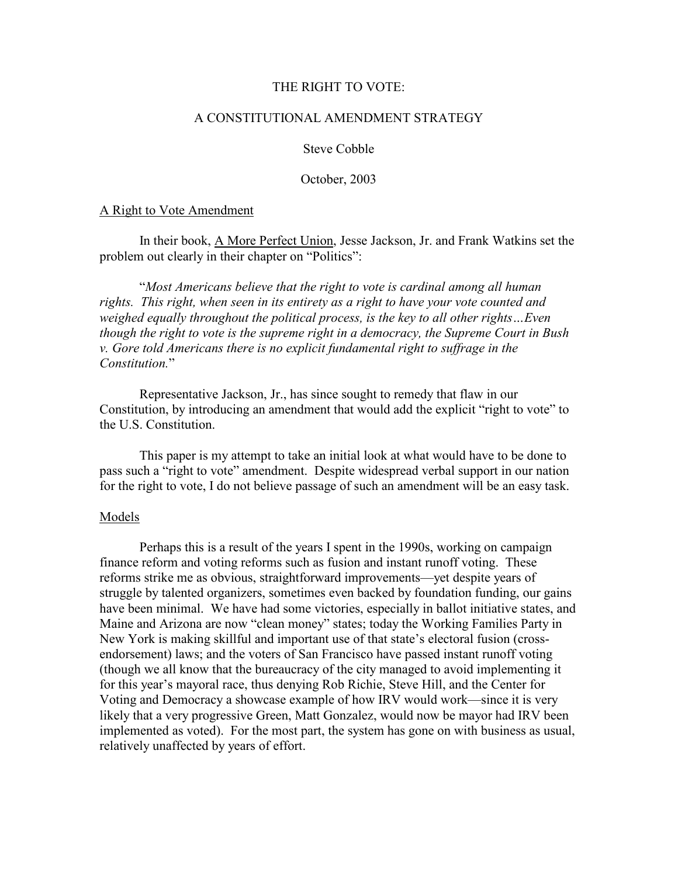### THE RIGHT TO VOTE:

# A CONSTITUTIONAL AMENDMENT STRATEGY

Steve Cobble

October, 2003

#### A Right to Vote Amendment

 In their book, A More Perfect Union, Jesse Jackson, Jr. and Frank Watkins set the problem out clearly in their chapter on "Politics":

 "Most Americans believe that the right to vote is cardinal among all human rights. This right, when seen in its entirety as a right to have your vote counted and weighed equally throughout the political process, is the key to all other rights... Even though the right to vote is the supreme right in a democracy, the Supreme Court in Bush v. Gore told Americans there is no explicit fundamental right to suffrage in the Constitution."

 Representative Jackson, Jr., has since sought to remedy that flaw in our Constitution, by introducing an amendment that would add the explicit "right to vote" to the U.S. Constitution.

 This paper is my attempt to take an initial look at what would have to be done to pass such a "right to vote" amendment. Despite widespread verbal support in our nation for the right to vote, I do not believe passage of such an amendment will be an easy task.

# Models

 Perhaps this is a result of the years I spent in the 1990s, working on campaign finance reform and voting reforms such as fusion and instant runoff voting. These reforms strike me as obvious, straightforward improvements—yet despite years of struggle by talented organizers, sometimes even backed by foundation funding, our gains have been minimal. We have had some victories, especially in ballot initiative states, and Maine and Arizona are now "clean money" states; today the Working Families Party in New York is making skillful and important use of that state's electoral fusion (crossendorsement) laws; and the voters of San Francisco have passed instant runoff voting (though we all know that the bureaucracy of the city managed to avoid implementing it for this year's mayoral race, thus denying Rob Richie, Steve Hill, and the Center for Voting and Democracy a showcase example of how IRV would work—since it is very likely that a very progressive Green, Matt Gonzalez, would now be mayor had IRV been implemented as voted). For the most part, the system has gone on with business as usual, relatively unaffected by years of effort.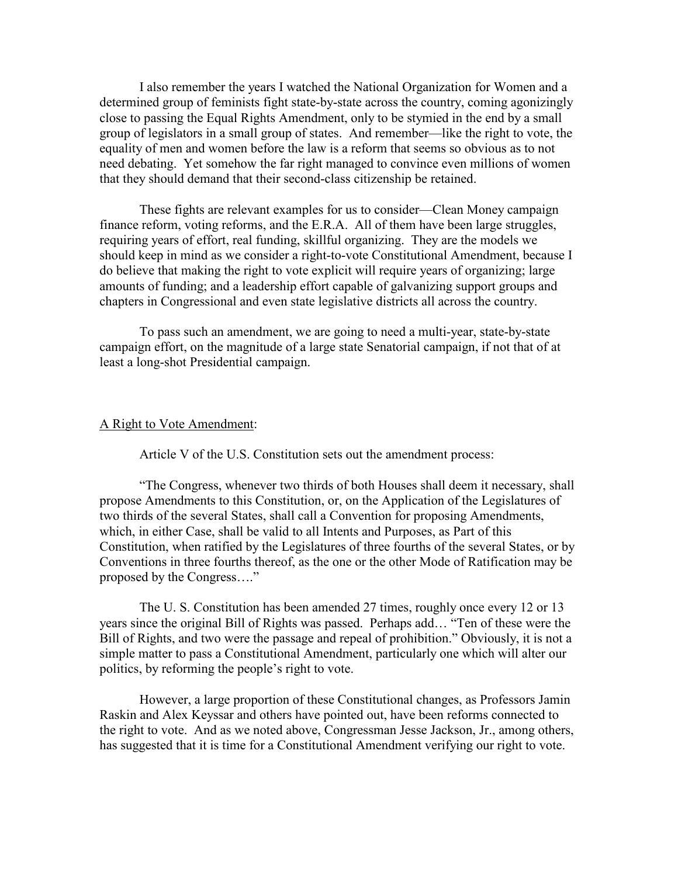I also remember the years I watched the National Organization for Women and a determined group of feminists fight state-by-state across the country, coming agonizingly close to passing the Equal Rights Amendment, only to be stymied in the end by a small group of legislators in a small group of states. And remember—like the right to vote, the equality of men and women before the law is a reform that seems so obvious as to not need debating. Yet somehow the far right managed to convince even millions of women that they should demand that their second-class citizenship be retained.

 These fights are relevant examples for us to consider—Clean Money campaign finance reform, voting reforms, and the E.R.A. All of them have been large struggles, requiring years of effort, real funding, skillful organizing. They are the models we should keep in mind as we consider a right-to-vote Constitutional Amendment, because I do believe that making the right to vote explicit will require years of organizing; large amounts of funding; and a leadership effort capable of galvanizing support groups and chapters in Congressional and even state legislative districts all across the country.

 To pass such an amendment, we are going to need a multi-year, state-by-state campaign effort, on the magnitude of a large state Senatorial campaign, if not that of at least a long-shot Presidential campaign.

#### A Right to Vote Amendment:

Article V of the U.S. Constitution sets out the amendment process:

 "The Congress, whenever two thirds of both Houses shall deem it necessary, shall propose Amendments to this Constitution, or, on the Application of the Legislatures of two thirds of the several States, shall call a Convention for proposing Amendments, which, in either Case, shall be valid to all Intents and Purposes, as Part of this Constitution, when ratified by the Legislatures of three fourths of the several States, or by Conventions in three fourths thereof, as the one or the other Mode of Ratification may be proposed by the Congress…."

 The U. S. Constitution has been amended 27 times, roughly once every 12 or 13 years since the original Bill of Rights was passed. Perhaps add… "Ten of these were the Bill of Rights, and two were the passage and repeal of prohibition." Obviously, it is not a simple matter to pass a Constitutional Amendment, particularly one which will alter our politics, by reforming the people's right to vote.

 However, a large proportion of these Constitutional changes, as Professors Jamin Raskin and Alex Keyssar and others have pointed out, have been reforms connected to the right to vote. And as we noted above, Congressman Jesse Jackson, Jr., among others, has suggested that it is time for a Constitutional Amendment verifying our right to vote.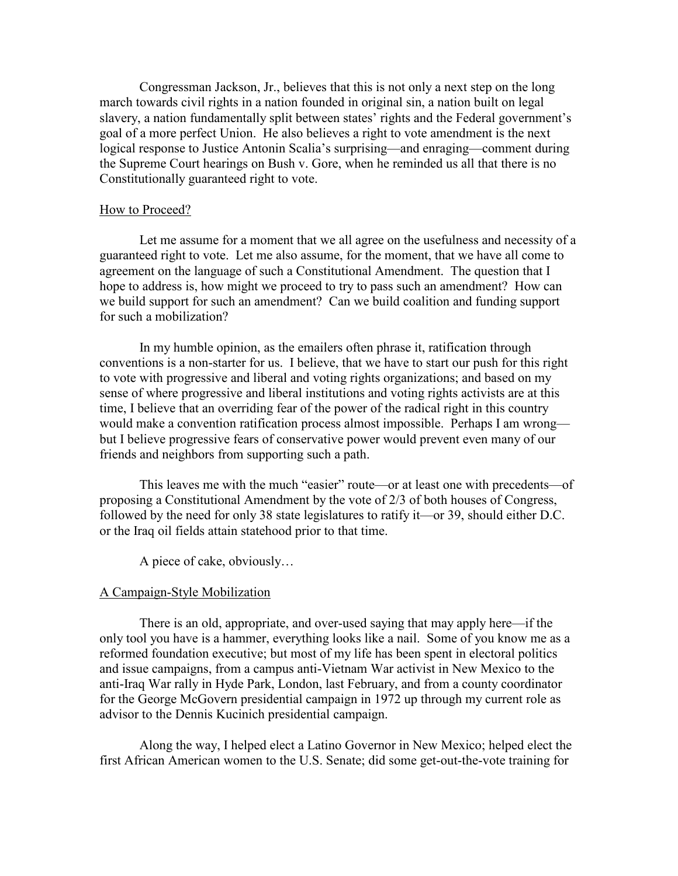Congressman Jackson, Jr., believes that this is not only a next step on the long march towards civil rights in a nation founded in original sin, a nation built on legal slavery, a nation fundamentally split between states' rights and the Federal government's goal of a more perfect Union. He also believes a right to vote amendment is the next logical response to Justice Antonin Scalia's surprising—and enraging—comment during the Supreme Court hearings on Bush v. Gore, when he reminded us all that there is no Constitutionally guaranteed right to vote.

#### How to Proceed?

Let me assume for a moment that we all agree on the usefulness and necessity of a guaranteed right to vote. Let me also assume, for the moment, that we have all come to agreement on the language of such a Constitutional Amendment. The question that I hope to address is, how might we proceed to try to pass such an amendment? How can we build support for such an amendment? Can we build coalition and funding support for such a mobilization?

 In my humble opinion, as the emailers often phrase it, ratification through conventions is a non-starter for us. I believe, that we have to start our push for this right to vote with progressive and liberal and voting rights organizations; and based on my sense of where progressive and liberal institutions and voting rights activists are at this time, I believe that an overriding fear of the power of the radical right in this country would make a convention ratification process almost impossible. Perhaps I am wrong but I believe progressive fears of conservative power would prevent even many of our friends and neighbors from supporting such a path.

 This leaves me with the much "easier" route—or at least one with precedents—of proposing a Constitutional Amendment by the vote of 2/3 of both houses of Congress, followed by the need for only 38 state legislatures to ratify it—or 39, should either D.C. or the Iraq oil fields attain statehood prior to that time.

A piece of cake, obviously…

#### A Campaign-Style Mobilization

 There is an old, appropriate, and over-used saying that may apply here—if the only tool you have is a hammer, everything looks like a nail. Some of you know me as a reformed foundation executive; but most of my life has been spent in electoral politics and issue campaigns, from a campus anti-Vietnam War activist in New Mexico to the anti-Iraq War rally in Hyde Park, London, last February, and from a county coordinator for the George McGovern presidential campaign in 1972 up through my current role as advisor to the Dennis Kucinich presidential campaign.

 Along the way, I helped elect a Latino Governor in New Mexico; helped elect the first African American women to the U.S. Senate; did some get-out-the-vote training for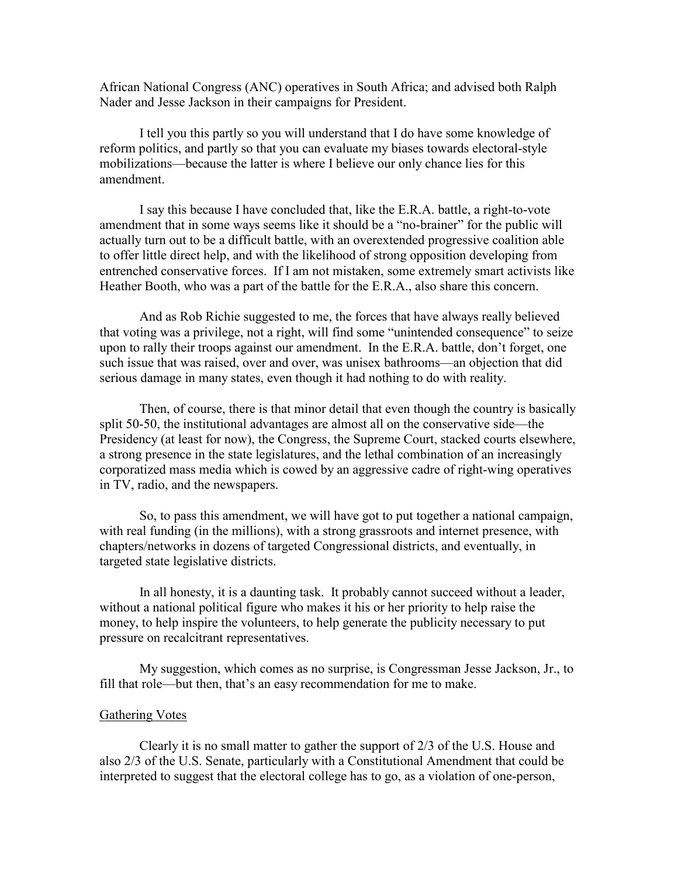African National Congress (ANC) operatives in South Africa; and advised both Ralph Nader and Jesse Jackson in their campaigns for President.

 I tell you this partly so you will understand that I do have some knowledge of reform politics, and partly so that you can evaluate my biases towards electoral-style mobilizations—because the latter is where I believe our only chance lies for this amendment.

 I say this because I have concluded that, like the E.R.A. battle, a right-to-vote amendment that in some ways seems like it should be a "no-brainer" for the public will actually turn out to be a difficult battle, with an overextended progressive coalition able to offer little direct help, and with the likelihood of strong opposition developing from entrenched conservative forces. If I am not mistaken, some extremely smart activists like Heather Booth, who was a part of the battle for the E.R.A., also share this concern.

 And as Rob Richie suggested to me, the forces that have always really believed that voting was a privilege, not a right, will find some "unintended consequence" to seize upon to rally their troops against our amendment. In the E.R.A. battle, don't forget, one such issue that was raised, over and over, was unisex bathrooms—an objection that did serious damage in many states, even though it had nothing to do with reality.

 Then, of course, there is that minor detail that even though the country is basically split 50-50, the institutional advantages are almost all on the conservative side—the Presidency (at least for now), the Congress, the Supreme Court, stacked courts elsewhere, a strong presence in the state legislatures, and the lethal combination of an increasingly corporatized mass media which is cowed by an aggressive cadre of right-wing operatives in TV, radio, and the newspapers.

 So, to pass this amendment, we will have got to put together a national campaign, with real funding (in the millions), with a strong grassroots and internet presence, with chapters/networks in dozens of targeted Congressional districts, and eventually, in targeted state legislative districts.

 In all honesty, it is a daunting task. It probably cannot succeed without a leader, without a national political figure who makes it his or her priority to help raise the money, to help inspire the volunteers, to help generate the publicity necessary to put pressure on recalcitrant representatives.

 My suggestion, which comes as no surprise, is Congressman Jesse Jackson, Jr., to fill that role—but then, that's an easy recommendation for me to make.

# Gathering Votes

 Clearly it is no small matter to gather the support of 2/3 of the U.S. House and also 2/3 of the U.S. Senate, particularly with a Constitutional Amendment that could be interpreted to suggest that the electoral college has to go, as a violation of one-person,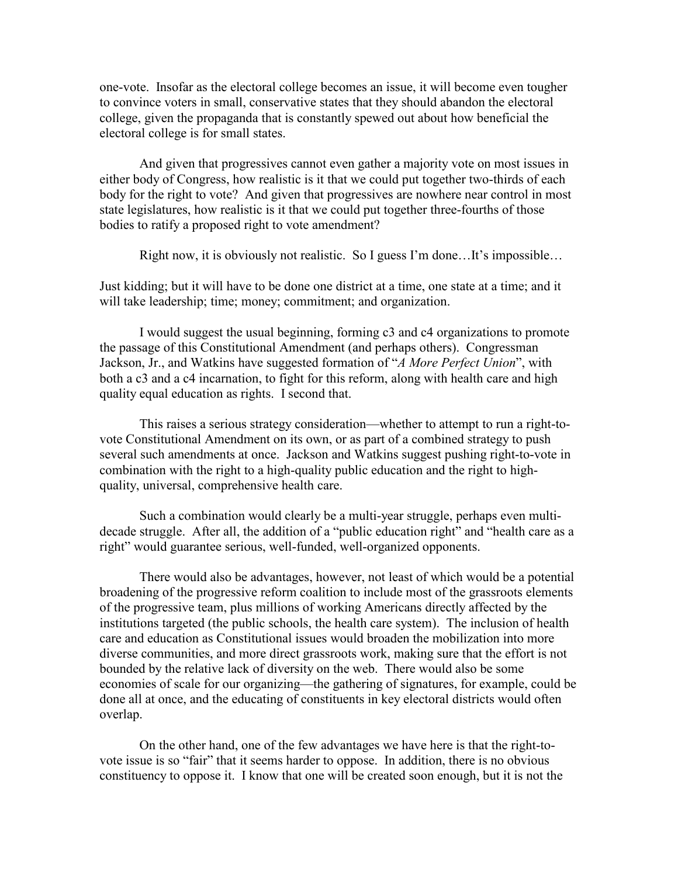one-vote. Insofar as the electoral college becomes an issue, it will become even tougher to convince voters in small, conservative states that they should abandon the electoral college, given the propaganda that is constantly spewed out about how beneficial the electoral college is for small states.

 And given that progressives cannot even gather a majority vote on most issues in either body of Congress, how realistic is it that we could put together two-thirds of each body for the right to vote? And given that progressives are nowhere near control in most state legislatures, how realistic is it that we could put together three-fourths of those bodies to ratify a proposed right to vote amendment?

Right now, it is obviously not realistic. So I guess I'm done…It's impossible…

Just kidding; but it will have to be done one district at a time, one state at a time; and it will take leadership; time; money; commitment; and organization.

 I would suggest the usual beginning, forming c3 and c4 organizations to promote the passage of this Constitutional Amendment (and perhaps others). Congressman Jackson, Jr., and Watkins have suggested formation of "A More Perfect Union", with both a c3 and a c4 incarnation, to fight for this reform, along with health care and high quality equal education as rights. I second that.

 This raises a serious strategy consideration—whether to attempt to run a right-tovote Constitutional Amendment on its own, or as part of a combined strategy to push several such amendments at once. Jackson and Watkins suggest pushing right-to-vote in combination with the right to a high-quality public education and the right to highquality, universal, comprehensive health care.

 Such a combination would clearly be a multi-year struggle, perhaps even multidecade struggle. After all, the addition of a "public education right" and "health care as a right" would guarantee serious, well-funded, well-organized opponents.

 There would also be advantages, however, not least of which would be a potential broadening of the progressive reform coalition to include most of the grassroots elements of the progressive team, plus millions of working Americans directly affected by the institutions targeted (the public schools, the health care system). The inclusion of health care and education as Constitutional issues would broaden the mobilization into more diverse communities, and more direct grassroots work, making sure that the effort is not bounded by the relative lack of diversity on the web. There would also be some economies of scale for our organizing—the gathering of signatures, for example, could be done all at once, and the educating of constituents in key electoral districts would often overlap.

 On the other hand, one of the few advantages we have here is that the right-tovote issue is so "fair" that it seems harder to oppose. In addition, there is no obvious constituency to oppose it. I know that one will be created soon enough, but it is not the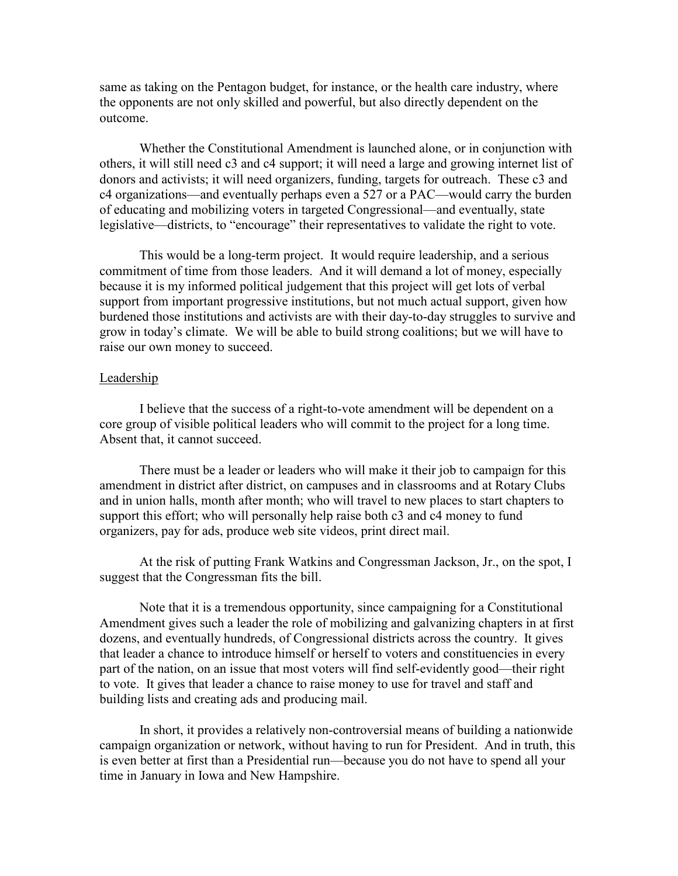same as taking on the Pentagon budget, for instance, or the health care industry, where the opponents are not only skilled and powerful, but also directly dependent on the outcome.

 Whether the Constitutional Amendment is launched alone, or in conjunction with others, it will still need c3 and c4 support; it will need a large and growing internet list of donors and activists; it will need organizers, funding, targets for outreach. These c3 and c4 organizations—and eventually perhaps even a 527 or a PAC—would carry the burden of educating and mobilizing voters in targeted Congressional—and eventually, state legislative—districts, to "encourage" their representatives to validate the right to vote.

 This would be a long-term project. It would require leadership, and a serious commitment of time from those leaders. And it will demand a lot of money, especially because it is my informed political judgement that this project will get lots of verbal support from important progressive institutions, but not much actual support, given how burdened those institutions and activists are with their day-to-day struggles to survive and grow in today's climate. We will be able to build strong coalitions; but we will have to raise our own money to succeed.

#### Leadership

 I believe that the success of a right-to-vote amendment will be dependent on a core group of visible political leaders who will commit to the project for a long time. Absent that, it cannot succeed.

 There must be a leader or leaders who will make it their job to campaign for this amendment in district after district, on campuses and in classrooms and at Rotary Clubs and in union halls, month after month; who will travel to new places to start chapters to support this effort; who will personally help raise both c3 and c4 money to fund organizers, pay for ads, produce web site videos, print direct mail.

 At the risk of putting Frank Watkins and Congressman Jackson, Jr., on the spot, I suggest that the Congressman fits the bill.

 Note that it is a tremendous opportunity, since campaigning for a Constitutional Amendment gives such a leader the role of mobilizing and galvanizing chapters in at first dozens, and eventually hundreds, of Congressional districts across the country. It gives that leader a chance to introduce himself or herself to voters and constituencies in every part of the nation, on an issue that most voters will find self-evidently good—their right to vote. It gives that leader a chance to raise money to use for travel and staff and building lists and creating ads and producing mail.

 In short, it provides a relatively non-controversial means of building a nationwide campaign organization or network, without having to run for President. And in truth, this is even better at first than a Presidential run—because you do not have to spend all your time in January in Iowa and New Hampshire.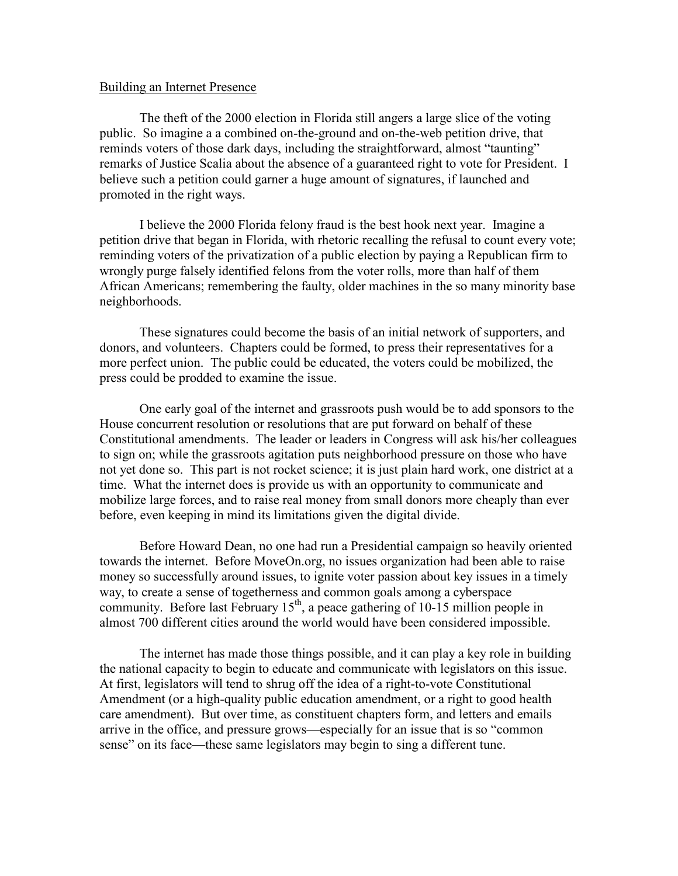### Building an Internet Presence

 The theft of the 2000 election in Florida still angers a large slice of the voting public. So imagine a a combined on-the-ground and on-the-web petition drive, that reminds voters of those dark days, including the straightforward, almost "taunting" remarks of Justice Scalia about the absence of a guaranteed right to vote for President. I believe such a petition could garner a huge amount of signatures, if launched and promoted in the right ways.

 I believe the 2000 Florida felony fraud is the best hook next year. Imagine a petition drive that began in Florida, with rhetoric recalling the refusal to count every vote; reminding voters of the privatization of a public election by paying a Republican firm to wrongly purge falsely identified felons from the voter rolls, more than half of them African Americans; remembering the faulty, older machines in the so many minority base neighborhoods.

 These signatures could become the basis of an initial network of supporters, and donors, and volunteers. Chapters could be formed, to press their representatives for a more perfect union. The public could be educated, the voters could be mobilized, the press could be prodded to examine the issue.

 One early goal of the internet and grassroots push would be to add sponsors to the House concurrent resolution or resolutions that are put forward on behalf of these Constitutional amendments. The leader or leaders in Congress will ask his/her colleagues to sign on; while the grassroots agitation puts neighborhood pressure on those who have not yet done so. This part is not rocket science; it is just plain hard work, one district at a time. What the internet does is provide us with an opportunity to communicate and mobilize large forces, and to raise real money from small donors more cheaply than ever before, even keeping in mind its limitations given the digital divide.

 Before Howard Dean, no one had run a Presidential campaign so heavily oriented towards the internet. Before MoveOn.org, no issues organization had been able to raise money so successfully around issues, to ignite voter passion about key issues in a timely way, to create a sense of togetherness and common goals among a cyberspace community. Before last February  $15<sup>th</sup>$ , a peace gathering of 10-15 million people in almost 700 different cities around the world would have been considered impossible.

 The internet has made those things possible, and it can play a key role in building the national capacity to begin to educate and communicate with legislators on this issue. At first, legislators will tend to shrug off the idea of a right-to-vote Constitutional Amendment (or a high-quality public education amendment, or a right to good health care amendment). But over time, as constituent chapters form, and letters and emails arrive in the office, and pressure grows—especially for an issue that is so "common sense" on its face—these same legislators may begin to sing a different tune.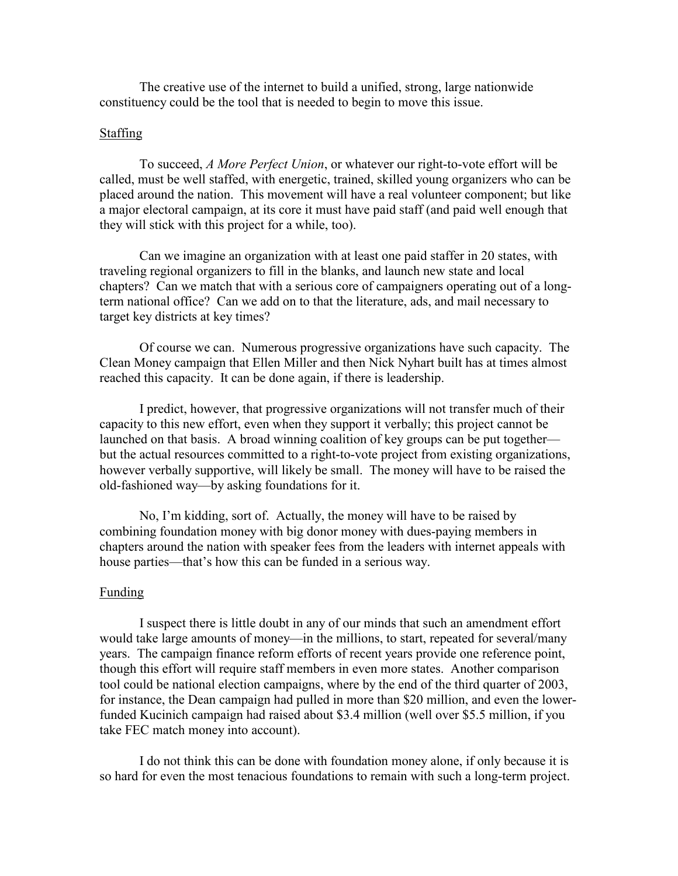The creative use of the internet to build a unified, strong, large nationwide constituency could be the tool that is needed to begin to move this issue.

# Staffing

 To succeed, A More Perfect Union, or whatever our right-to-vote effort will be called, must be well staffed, with energetic, trained, skilled young organizers who can be placed around the nation. This movement will have a real volunteer component; but like a major electoral campaign, at its core it must have paid staff (and paid well enough that they will stick with this project for a while, too).

 Can we imagine an organization with at least one paid staffer in 20 states, with traveling regional organizers to fill in the blanks, and launch new state and local chapters? Can we match that with a serious core of campaigners operating out of a longterm national office? Can we add on to that the literature, ads, and mail necessary to target key districts at key times?

 Of course we can. Numerous progressive organizations have such capacity. The Clean Money campaign that Ellen Miller and then Nick Nyhart built has at times almost reached this capacity. It can be done again, if there is leadership.

 I predict, however, that progressive organizations will not transfer much of their capacity to this new effort, even when they support it verbally; this project cannot be launched on that basis. A broad winning coalition of key groups can be put together but the actual resources committed to a right-to-vote project from existing organizations, however verbally supportive, will likely be small. The money will have to be raised the old-fashioned way—by asking foundations for it.

 No, I'm kidding, sort of. Actually, the money will have to be raised by combining foundation money with big donor money with dues-paying members in chapters around the nation with speaker fees from the leaders with internet appeals with house parties—that's how this can be funded in a serious way.

# Funding

 I suspect there is little doubt in any of our minds that such an amendment effort would take large amounts of money—in the millions, to start, repeated for several/many years. The campaign finance reform efforts of recent years provide one reference point, though this effort will require staff members in even more states. Another comparison tool could be national election campaigns, where by the end of the third quarter of 2003, for instance, the Dean campaign had pulled in more than \$20 million, and even the lowerfunded Kucinich campaign had raised about \$3.4 million (well over \$5.5 million, if you take FEC match money into account).

 I do not think this can be done with foundation money alone, if only because it is so hard for even the most tenacious foundations to remain with such a long-term project.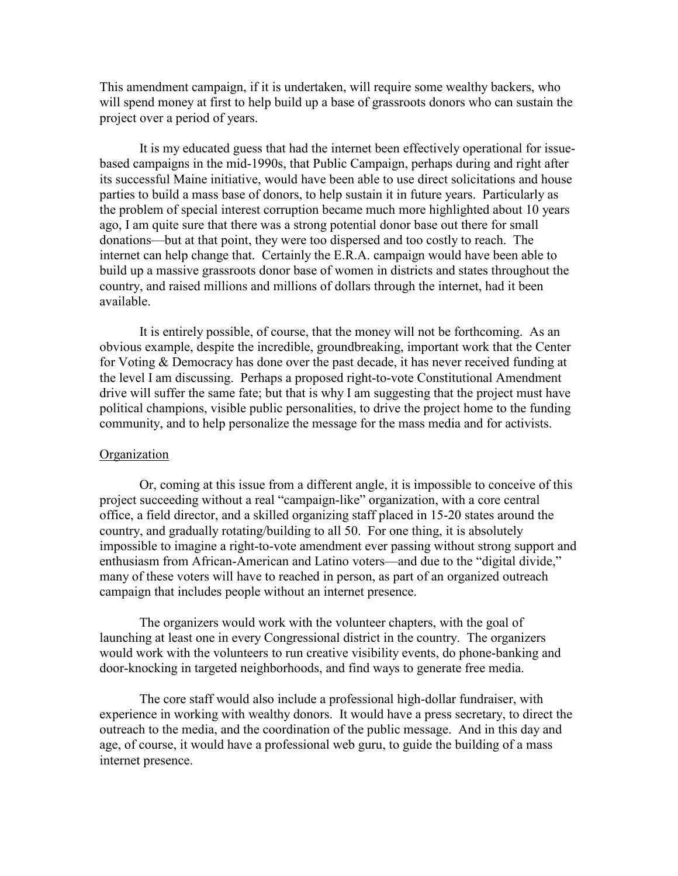This amendment campaign, if it is undertaken, will require some wealthy backers, who will spend money at first to help build up a base of grassroots donors who can sustain the project over a period of years.

 It is my educated guess that had the internet been effectively operational for issuebased campaigns in the mid-1990s, that Public Campaign, perhaps during and right after its successful Maine initiative, would have been able to use direct solicitations and house parties to build a mass base of donors, to help sustain it in future years. Particularly as the problem of special interest corruption became much more highlighted about 10 years ago, I am quite sure that there was a strong potential donor base out there for small donations—but at that point, they were too dispersed and too costly to reach. The internet can help change that. Certainly the E.R.A. campaign would have been able to build up a massive grassroots donor base of women in districts and states throughout the country, and raised millions and millions of dollars through the internet, had it been available.

 It is entirely possible, of course, that the money will not be forthcoming. As an obvious example, despite the incredible, groundbreaking, important work that the Center for Voting & Democracy has done over the past decade, it has never received funding at the level I am discussing. Perhaps a proposed right-to-vote Constitutional Amendment drive will suffer the same fate; but that is why I am suggesting that the project must have political champions, visible public personalities, to drive the project home to the funding community, and to help personalize the message for the mass media and for activists.

#### **Organization**

 Or, coming at this issue from a different angle, it is impossible to conceive of this project succeeding without a real "campaign-like" organization, with a core central office, a field director, and a skilled organizing staff placed in 15-20 states around the country, and gradually rotating/building to all 50. For one thing, it is absolutely impossible to imagine a right-to-vote amendment ever passing without strong support and enthusiasm from African-American and Latino voters—and due to the "digital divide," many of these voters will have to reached in person, as part of an organized outreach campaign that includes people without an internet presence.

 The organizers would work with the volunteer chapters, with the goal of launching at least one in every Congressional district in the country. The organizers would work with the volunteers to run creative visibility events, do phone-banking and door-knocking in targeted neighborhoods, and find ways to generate free media.

 The core staff would also include a professional high-dollar fundraiser, with experience in working with wealthy donors. It would have a press secretary, to direct the outreach to the media, and the coordination of the public message. And in this day and age, of course, it would have a professional web guru, to guide the building of a mass internet presence.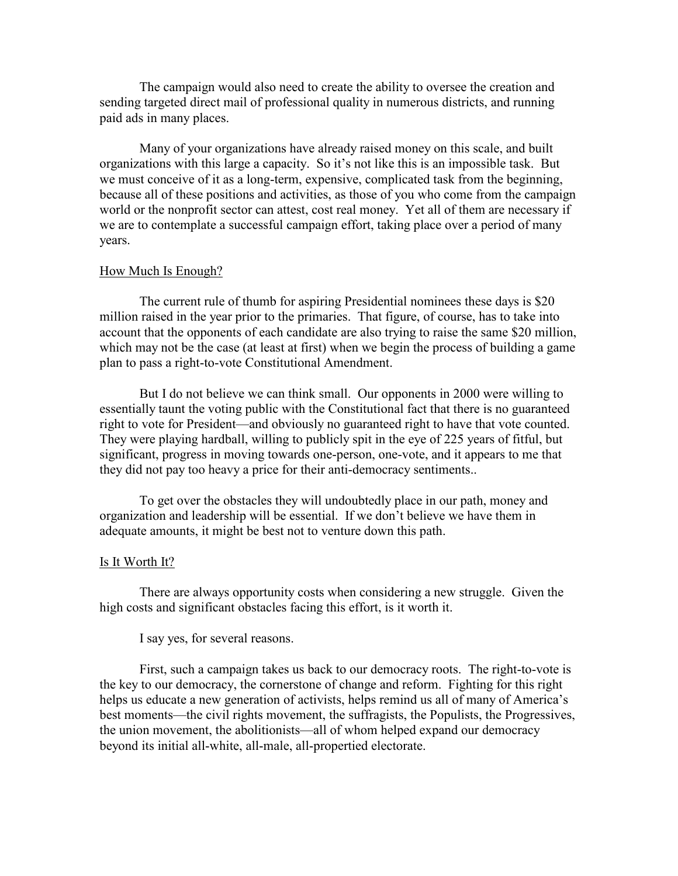The campaign would also need to create the ability to oversee the creation and sending targeted direct mail of professional quality in numerous districts, and running paid ads in many places.

 Many of your organizations have already raised money on this scale, and built organizations with this large a capacity. So it's not like this is an impossible task. But we must conceive of it as a long-term, expensive, complicated task from the beginning, because all of these positions and activities, as those of you who come from the campaign world or the nonprofit sector can attest, cost real money. Yet all of them are necessary if we are to contemplate a successful campaign effort, taking place over a period of many years.

#### How Much Is Enough?

 The current rule of thumb for aspiring Presidential nominees these days is \$20 million raised in the year prior to the primaries. That figure, of course, has to take into account that the opponents of each candidate are also trying to raise the same \$20 million, which may not be the case (at least at first) when we begin the process of building a game plan to pass a right-to-vote Constitutional Amendment.

 But I do not believe we can think small. Our opponents in 2000 were willing to essentially taunt the voting public with the Constitutional fact that there is no guaranteed right to vote for President—and obviously no guaranteed right to have that vote counted. They were playing hardball, willing to publicly spit in the eye of 225 years of fitful, but significant, progress in moving towards one-person, one-vote, and it appears to me that they did not pay too heavy a price for their anti-democracy sentiments..

 To get over the obstacles they will undoubtedly place in our path, money and organization and leadership will be essential. If we don't believe we have them in adequate amounts, it might be best not to venture down this path.

#### Is It Worth It?

 There are always opportunity costs when considering a new struggle. Given the high costs and significant obstacles facing this effort, is it worth it.

# I say yes, for several reasons.

 First, such a campaign takes us back to our democracy roots. The right-to-vote is the key to our democracy, the cornerstone of change and reform. Fighting for this right helps us educate a new generation of activists, helps remind us all of many of America's best moments—the civil rights movement, the suffragists, the Populists, the Progressives, the union movement, the abolitionists—all of whom helped expand our democracy beyond its initial all-white, all-male, all-propertied electorate.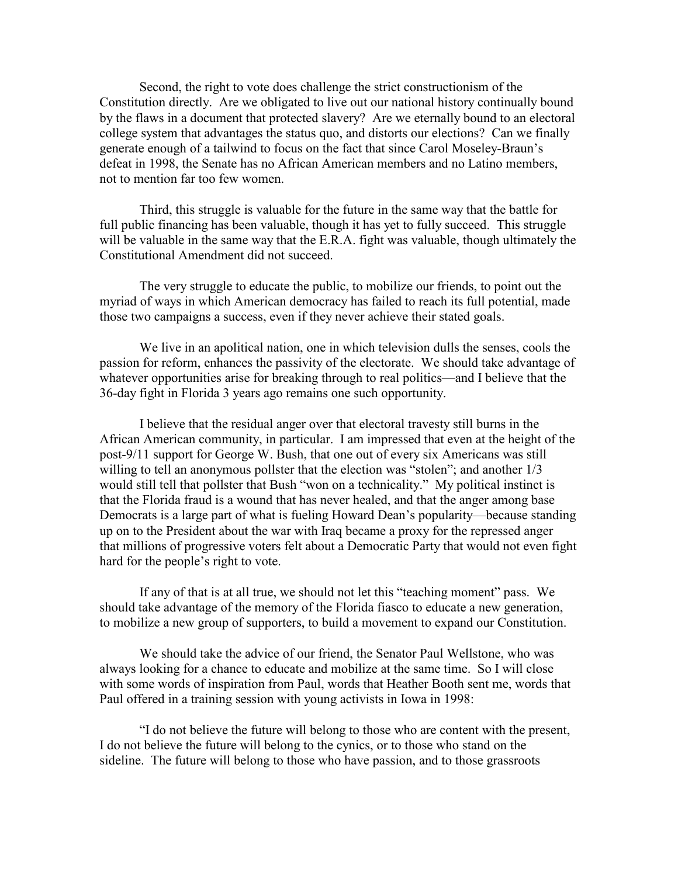Second, the right to vote does challenge the strict constructionism of the Constitution directly. Are we obligated to live out our national history continually bound by the flaws in a document that protected slavery? Are we eternally bound to an electoral college system that advantages the status quo, and distorts our elections? Can we finally generate enough of a tailwind to focus on the fact that since Carol Moseley-Braun's defeat in 1998, the Senate has no African American members and no Latino members, not to mention far too few women.

 Third, this struggle is valuable for the future in the same way that the battle for full public financing has been valuable, though it has yet to fully succeed. This struggle will be valuable in the same way that the E.R.A. fight was valuable, though ultimately the Constitutional Amendment did not succeed.

 The very struggle to educate the public, to mobilize our friends, to point out the myriad of ways in which American democracy has failed to reach its full potential, made those two campaigns a success, even if they never achieve their stated goals.

 We live in an apolitical nation, one in which television dulls the senses, cools the passion for reform, enhances the passivity of the electorate. We should take advantage of whatever opportunities arise for breaking through to real politics—and I believe that the 36-day fight in Florida 3 years ago remains one such opportunity.

 I believe that the residual anger over that electoral travesty still burns in the African American community, in particular. I am impressed that even at the height of the post-9/11 support for George W. Bush, that one out of every six Americans was still willing to tell an anonymous pollster that the election was "stolen"; and another  $1/3$ would still tell that pollster that Bush "won on a technicality." My political instinct is that the Florida fraud is a wound that has never healed, and that the anger among base Democrats is a large part of what is fueling Howard Dean's popularity—because standing up on to the President about the war with Iraq became a proxy for the repressed anger that millions of progressive voters felt about a Democratic Party that would not even fight hard for the people's right to vote.

 If any of that is at all true, we should not let this "teaching moment" pass. We should take advantage of the memory of the Florida fiasco to educate a new generation, to mobilize a new group of supporters, to build a movement to expand our Constitution.

 We should take the advice of our friend, the Senator Paul Wellstone, who was always looking for a chance to educate and mobilize at the same time. So I will close with some words of inspiration from Paul, words that Heather Booth sent me, words that Paul offered in a training session with young activists in Iowa in 1998:

 "I do not believe the future will belong to those who are content with the present, I do not believe the future will belong to the cynics, or to those who stand on the sideline. The future will belong to those who have passion, and to those grassroots